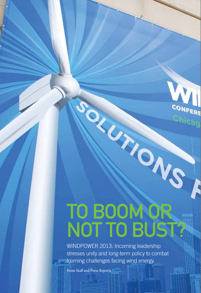# TO BOOM O NOT TO BUST?

WINDPOWER 2013: Incoming leadership stresses unity and long-term policy to combat looming challenges facing wind energy.

From Staff and Press Reports

20 JUNE **| 2013**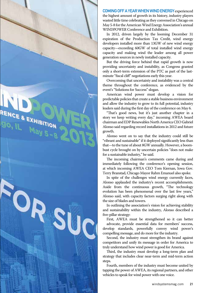

COMING OFF A YEAR WHEN WIND ENERGY experienced the highest amount of growth in its history, industry players wasted little time celebrating as they convened in Chicago on May 5-8 for the American Wind Energy Association's annual WINDPOWER Conference and Exhibition.

In 2012, driven largely by the looming December 31 expiration of the Production Tax Credit, wind energy developers installed more than 13GW of new wind energy capacity—exceeding 60GW of total installed wind energy capacity and making wind the leader among all power generation sources in newly installed capacity.

But the driving force behind that rapid growth is now providing uncertainty and instability, as Congress granted only a short-term extension of the PTC as part of the lastminute "fiscal cliff" negotiations early this year.

Overcoming that uncertainty and instability was a central theme throughout the conference, as evidenced by the event's "Solutions for Success" slogan.

American wind power must develop a vision for predictable policies that create a stable business environment and allow the industry to grow to its full potential, industry leaders said during the first day of the conference on May 6.

"That's good news, but it's just another chapter in a story we keep writing every day," incoming AWEA board chairman and EDP Renewables North America CEO Gabriel Alonso said regarding record installations in 2012 and future growth.

Alonso went on to say that the industry could still be "vibrant and sustainable" if it deployed significantly less than that—to the tune of about 8GW annually. However, a boombust cycle brought on by uncertain policies "does not make for a sustainable industry," he said.

The incoming chairman's comments came during and immediately following the conference's opening session, at which incoming AWEA CEO Tom Kiernan, Iowa Gov. Terry Branstad, Chicago Mayor Rahm Emanuel also spoke.

In spite of the challenges wind energy currently faces, Alonso applauded the industry's recent accomplishments. Aside from the continuous growth, "The technology evolution has been phenomenal over the last few years," Alonso said, with capacity factors surging right along with the size of blades and towers.

In outlining the association's vision for achieving stability and sustainability within the industry, Alonso described a five-pillar strategy:

First, AWEA must be strengthened so it can better advocate, provide essential data for members' success, develop standards, powerfully convey wind power's compelling message, and do more for the industry.

Second, the industry must strengthen its brand against competitors and unify its message in order for America to truly understand how wind power is good for America.

Third, the industry must develop a long-term plan and strategy that includes clear near-term and mid-term action steps.

Fourth, members of the industry must become united by tapping the power of AWEA, its regional partners, and other vehicles to speak for wind power with one voice.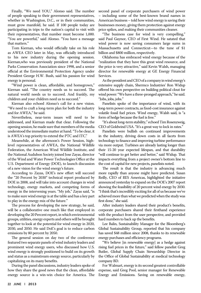Finally, "We need YOU," Alonso said. The number of people speaking to their government representatives, whether in Washington, D.C., or in their communities, must grow manifold, he said. If 100 people today are participating in trips to the nation's capital to visit with their representatives, that number must become 1,000. "You are powerful," said Alonso. "You have a message that matters."

Tom Kiernan, who would officially take on his role as AWEA CEO later in May, was officially introduced to his new industry during the opening session. Kiernan,who was previously president of the National Parks Conservation Association since 1998, and a senior official at the Environmental Protection Agency under President George H.W. Bush, said his passion for wind energy is personal.

"Wind power is clean, affordable, and homegrown," Kiernan said. "The country needs us to succeed. The natural world needs us to succeed. And frankly, my children and your children need us to succeed."

Kiernan also echoed Alonso's call for a new vision. "We need to craft a long-term plan for both the industry and for AWEA," he said.

Nevertheless, near-term issues will need to be addressed, and Kiernan made that clear. Following the opening session, he made sure that members of the media understood the immediate matter at hand. "To be clear, it is AWEA's top priority to extend the PTC and ITC."

Meanwhile, at the afternoon's Power Session, highlevel representatives of AWEA, the National Wildlife Federation, the American Wind Wildlife Institute, and the National Audubon Society joined Jose Zayas, director of the Wind and Water Power Technologies Office at the U.S. Department of Energy (DOE), to launch discussion of a new vision for the wind energy's future.

According to Zayas, DOE's new effort will succeed the "20 Percent by 2030" technical report produced by DOE in 2008, and will take into account changes in wind technology, energy markets, and competing forms of energy in the intervening years. "My job," Zayas said, "is to make sure wind energy is at the table and has a key part to play in the energy mix of the future."

The process for developing the new strategy, he said, will be a collaborative one much like that employed in developing the 20 Percent report, in which environmental groups, utilities, energy experts and others will be brought together to look at the potential for wind energy in 2020, 2030, and 2050. He said DoE's goal is to reduce carbon emissions by 80 percent by 2050.

The general session on day two of the conference featured two separate panels of wind industry leaders and prominent wind energy users, who discussed how U.S. wind energy is strongly positioned to build on its growth and status as a mainstream energy source, particularly by capitalizing on its many benefits.

During the panel discussions, industry leaders spoke of how they share the good news that the clean, affordable energy source is a win-win choice for America. The second panel of corporate purchasers of wind power – including some of the best-known brand names in American business – told how wind energy is saving their businesses money, giving them protection against energy price spikes, and making their communities cleaner.

"The business case for wind is very compelling," said Paul Gaynor, CEO of First Wind. He satated that wind power is now saving consumers large sums in Massachusetts and Connecticut—to the tune of \$1 billion and \$800 million, respectively.

Oklahoma has embraced wind energy because of the "realization that they have this great wind resource, and the price is very attractive," said Kevin Walsh, managing director for renewable energy at GE Energy Financial Services.

As the president and CEO of a company in wind energy's extensive supply chain, Shermco Industries' Ron Widup offered his own perspective on building political clout for wind power: "We have a three-pronged approach," he said. "Jobs, jobs, jobs."

Panelists spoke of the importance of wind, with its long-term power contracts, as fixed-cost insurance against volatile fossil fuel prices. Wind energy, Walsh said, is "a form of hedge because the fuel is free."

"It's about long-term stability," echoed Tim Rosenzweig, CEO of Goldwind USA. "It's a great way to lock in rates."

Panelists were bullish on continued improvements in the industry, driving down costs in all facets from technology to finance and improving turbine performance via more output. Turbines are already lasting longer than their 15-20 year expected lifespan, and that durability "will continue to get better and better," said Widup. That impacts everything from a project owner's bottom line to the cost of capital for new projects, panelists noted.

The result is that the industry is advancing much more rapidly than anyone might have predicted. Susan Reilly, CEO of RES Americas, highlighted the initiative announced yesterday to expand on the DOE's 2007 report showing the feasibility of 20 percent wind energy by 2030. "I think that's incredibly exciting for all of us because we've achieved more than what we predicted when the study was first done," she said.

After industry leaders shared their product's benefits, corporate purchasers shared their firsthand experience with the product from the user perspective, and provided hard numbers to back up the benefits.

Lee Balin, Sustainability Manager for the Bloomberg's Global Sustainability Group, reported that his company has saved \$48 million since 2008, thanks to its renewable energy purchases and efficiency programs.

"We believe [in renewable energy] as a hedge against rising fuel prices in the future," said fellow panelist Greg Butler, Global Supply Chain Stewardship Director in the Office of Global Sustainability at medical technology company BD.

For Walmart, energy is its second greatest controllable expense, said Greg Pool, senior manager for Renewable Energy and Emissions. Saving on renewable energy,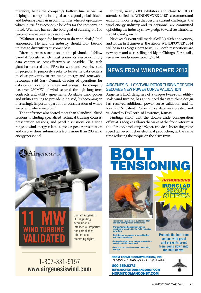therefore, helps the company's bottom line as well as helping the company in its goal to be a good global citizen, and fostering clean air in communities where it operates which in itself has economic benefits for the company, he noted. Walmart has set the bold goal of running on 100 percent renewable energy worldwide.

"Walmart is open for business to do wind deals," Pool announced. He said the industry should look beyond utilities to diversify its customer base.

Direct purchases are also in the playbook of fellow panelist Google, which must power its electron-hungry data centers as cost-effectively as possible. The tech giant has entered into PPAs for wind and even invested in projects. It purposely seeks to locate its data centers in close proximity to renewable energy and renewable resources, said Gary Demasi, director of operations for data center location strategy and energy. The company has over 260MW of wind secured through long-term contracts and utility agreements. Available wind power and utilities willing to provide it, he said, "is becoming an increasingly important part of our consideration of where we go and where we grow."

The conference also hosted more than 40 individualized sessions, including specialized technical training courses, presentation sessions, and panel discussions on a wide range of wind energy-related topics. A poster presentation and display drew submissions from more than 200 wind energy personnel.

In total, nearly 600 exhibitors and close to 10,000 attendees filled the WINDPOWER 2013's classrooms and exhibition floor, a sign that despite current challenges, the wind energy industry and its personnel are committed upholding the industry's new pledge toward sustainability, stability, and growth.

Next year's event will mark AWEA's 40th anniversary, and for the first time ever, the site for WINDPOWER 2014 will be in Las Vegas, next May 5-8. Booth reservations are now open and were selling briskly in Chicago. For details, see [www.windpowerexpo.org/2014.](http://www.windpowerexpo.org/2014)

# **NEWS FROM WINDPOWER 2013**

#### Airgenesis LLC's twin-rotor turbine design secures new power curve validation

Airgenesis LLC, designers of a unique twin-rotor utilityscale wind turbine, has announced that its turbine design has received additional power curve validation and its fourth U.S. patent. Power curve data was created and validated by DARcorp. of Lawrence, Kansas.

Findings show that the double-blade configuration offset at 30 degrees allows the wake of the front rotor miss the aft rotor, producing a 92 percent yield. Increasing rotor speed achieved higher electrical production, at the same time reducing the torque on the drive train.

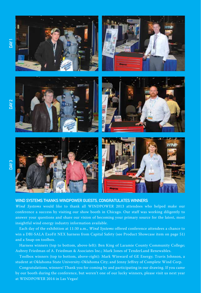

#### Wind Systems thanks WINDPOWER guests, congratulates winners

*Wind Systems* would like to thank all WINDPOWER 2013 attendees who helped make our conference a success by visiting our show booth in Chicago. Our staff was working diligently to answer your questions and share our vision of becoming your primary source for the latest, most insightful wind energy industry information available.

Each day of the exhibition at 11:30 a.m., *Wind Systems* offered conference attendees a chance to win a DBI-SALA ExoFit NEX harness from Capital Safety (see Product Showcase item on page 51) and a Snap-on toolbox.

Harness winners (top to bottom, above-left): Ben King of Laramie County Community College; Aubrey Friedman of A. Friedman & Asociates Inc.; Mark Jones of TenderLand Renewables.

Toolbox winners (top to bottom, above-right): Mark Winward of GE Energy; Travis Johnson, a student at Oklahoma State University-Oklahoma City; and Jenny Jeffrey of Complete Wind Corp.

Congratulations, winners! Thank you for coming by and participating in our drawing. If you came by our booth during the conference, but weren't one of our lucky winners, please visit us next year at WINDPOWER 2014 in Las Vegas!

DAY<sub>2</sub>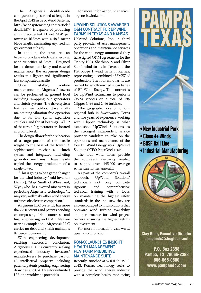The Airgenesis double-blade configuration (described at length in the April 2012 issue of Wind Systems; [http://windsystemsmag.com/article/](http://windsystemsmag.com/article/detail/357/) detail/357/) is capable of producing an unprecedented 11 net MW per tower at 16.5m/s with a 48.8 meter blade length, eliminating any need for government subsidy.

In addition, the structure can begin to produce electrical energy at wind velocities of 3m/s. Designed for maximum efficiency and ease of maintenance, the Airgenesis design results in a lighter and significantly less complicated nacelle.

installed, routine maintenance on Airgenesis' towers can be performed at ground level including swapping out generators and clutch systems. The drive system features five 50-foot drive shafts maintaining vibration free operation due to its low rpms, expansion couplers, and thrust bearings. All 12 of the turbine's generators are located at ground level.

The design allows for the relocation of a large portion of the nacelle weight to the base of the tower. A<br>sophisticated mechanical clutch sophisticated system and integrated ratcheting generator mechanism have nearly tripled the energy production of a single tower.

 "This is going to be a game changer for the wind industry," said inventor Danny J. "Skip" Smith of Wheatland, Wyo., who has invested nine years in perfecting Airgenesis' technology. "It may very well make other wind energy turbines obsolete in comparison."

Airgenesis LLC currently has more than 250 patents and patents pending encompassing 144 countries, and final engineering and CAD files are nearing completion. Airgenesis LLC carries no debt and Smith maintains 87 percent ownership.

With engineering development<br>aching successful conclusion. reaching successful conclusion, Airgenesis LLC is currently seeking<br>experienced industry investors/ experienced manufacturers to purchase part or all intellectual property including patents, patents pending, engineering drawings, and CAD files for unlimited U.S. and worldwide potentials.

For more information, visit [www.](http://www.airgenesiswind.com) [airgenesiswind.com.](http://www.airgenesiswind.com)

#### UpWind Solutions awarded O&M contract for BP wind farms in Texas and Kansas

UpWind Solutions, Inc., a third party provider of asset management operations and maintenance services for the wind energy, announced they have signed O&M agreements for the Trinity Hills, Sherbino 2, and Silver Star 1 wind farms in Texas and the Flat Ridge 1 wind farm in Kansas, representing a combined 485MW of production. The four wind farms are owned by wholly-owned subsidiaries of BP Wind Energy. The contract is for UpWind technicians to perform O&M services on a total of 194 Clipper C-93 and C-96 turbines.

"The geographic location of our regional hub in Sweetwater, Texas and five years of experience working with Clipper technology is what established UpWind Solutions as the strongest independent service provider candidate to take on the operations and maintenance of the four BP Wind Energy sites" UpWind Solutions' CEO Peter Wells said.

The four wind farms provide the equivalent electricity needed to supply over 145,000 average American homes annually.

As part of the company's overall<br>proach. UpWind Solutions' approach, UpWind Solutions' technicians not only<br>rigorous and com and comprehensive technical training with a focus on maintaining the highest safety standards in the industry, they are also encouraged to find solutions that optimize wind turbine availability and performance for wind project owners, ensuring the highest return on investment.

For more information, visit [www.](http://www.upwindsolutions.com) [upwindsolutions.com.](http://www.upwindsolutions.com)

### Romax launches InSight Health Management PLATFORM PREDICTIVE maintenance suite

Recently launched at WINDPOWER 2013, Romax Technology seeks to provide the wind energy industry with a complete health monitoring



PAMPA

Clay Rice, Executive Director [pampaedc@sbcglobal.net](mailto:pampaedc@sbcglobal.net?subject=Referred by Wind Systems Mag)

P.O. Box 2398 Pampa, TX 79066-2398 806-665-0800 [www.pampaedc.com](http://www.pampaedc.com)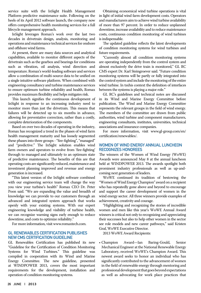service suite with the InSight Health Management Platform predictive maintenance suite. Following on the heels of its April 2012 software launch, the company now offers comprehensive health monitoring services for a full lifecycle management approach.

InSight leverages Romax's work over the last two decades in drivetrain design, analysis, monitoring and operations and maintenance technical services for onshore and offshore wind farms.

At present, there are many data sources and analytical capabilities, available to monitor different aspects of the drivetrain such as the gearbox and bearings for conditions such as vibration, oil analysis, wind direction and temperature. Romax's world-leading software and services allow a combination of multi-source data to be unified on a single intuitive software platform. When combined with engineering consultancy and turbine maintenance services to ensure optimum turbine reliability and health, Romax provides maximum flexibility and helps mitigates risk.

This launch signifies the continuous development of InSight in response to an increasing industry need to monitor more than just the drivetrain. This means that failures will be detected up to six months in advance, allowing for preventative correction, rather than a costly, complete deterioration of the components.

Based on over two decades of operating in the industry, Romax has recognized a trend in the phases of wind farm health management maturity and has loosely segmented these phases into three groups - "fire-fighting", "managed" and "predictive." The InSight solution enables wind farm owners and operators to evolve from 'fire-fighting' through to managed and ultimately to an optimum state of predictive maintenance. The benefits of this are that operating costs are significantly reduced, maintenance and investment planning improved and revenue and energy generation is increased.

"This latest version of the InSight software combined with our engineering service team will change the way you view your turbine's health" Romax CEO Dr. Peter Poon said. "We are expanding the value and breadth of knowledge we can provide to our customers through an advanced and integrated system approach that works openly with your existing systems. With our expert engineering knowledge and visibility of turbine health, we can recognize warning signs early enough to reduce downtime, and costs to optimize reliability."

For more information, visit [www.romaxtech.com.](http://www.romaxtech.com)

#### GL Renewables Certification publishes new CMS certification guideline

GL Renewables Certification has published its new "Guideline for the Certification of Condition Monitoring Systems for Wind Turbines." This guideline was compiled in cooperation with its Wind and Marine Energy Committee. The new guideline, presented at WINDPOWER 2013, covers the most important requirements for the development, installation and operation of condition monitoring systems.

Obtaining economical wind turbine operations is vital in light of initial wind farm development costs. Operators and manufacturers aim to achieve wind turbine availability of more than 97 percent. In order to reduce unplanned downtime, increase availability and to reduce maintenance costs, continuous condition monitoring of wind turbines is indispensable.

The updated guideline reflects the latest developments of condition monitoring systems for wind turbines and future requirements.

"Currently almost all condition monitoring systems are operating independently from the control system and almost exclusively the drive train is monitored," GL RC CMS expert Dr. Karl Steingroever said. "Future condition monitoring systems will be partly or fully integrated into the control system and include the monitoring of the entire wind turbine. In tsxhis context the definition of interfaces between the systems is playing a major role."

GL RC's guidelines and technical notes are discussed in its Wind and Marine Energy Committee before publication. The Wind and Marine Energy Committee represents the relevant groups in the field of wind energy. The members of the committee are drawn from public authorities, wind turbine and component manufacturers, engineering consultants, institutes, universities, technical associations and insurance companies.

[For more information, visit www.gl-group.com/en/](http://www.gl-group.com/en/certification/renewables/) certification/renewables/.

#### Women of Wind Energy Annual Luncheon recognizes honorees

The winners of the Women of Wind Energy (WoWE) Awards were announced May 8 at the annual luncheon held at WINDPOWER 2013. The awards spotlight both prominent industry professionals as well as up-andcoming next generation of leaders.

WoWE continued its tradition of bestowing the "Women of Wind Energy Champion" award on a recipient who has repeatedly gone above and beyond to encourage and support the career development of women in the wind energy sector. All three winners provide examples of achievement, creativity and courage.

"Highlighting and recognizing the stories of incredible women and men like this year's WoWE Annual Award winners is critical not only to recognizing and appreciating their successes but also to help other women in the sector see role models and new career pathways," said Kristen Graf, WoWE Executive Director.

2013 WoWE Award Recipients:

• Champion Award—Ian Baring-Gould, Senior Mechanical Engineer at the National Renewable Energy Laboratory, received WoWE's Champion Award. This newest award seeks to honor an individual who has significantly contributed to the advancement of women in the field of renewable energy through mentoring and professional development that goes beyond expectations as well as advocating for work place practices that